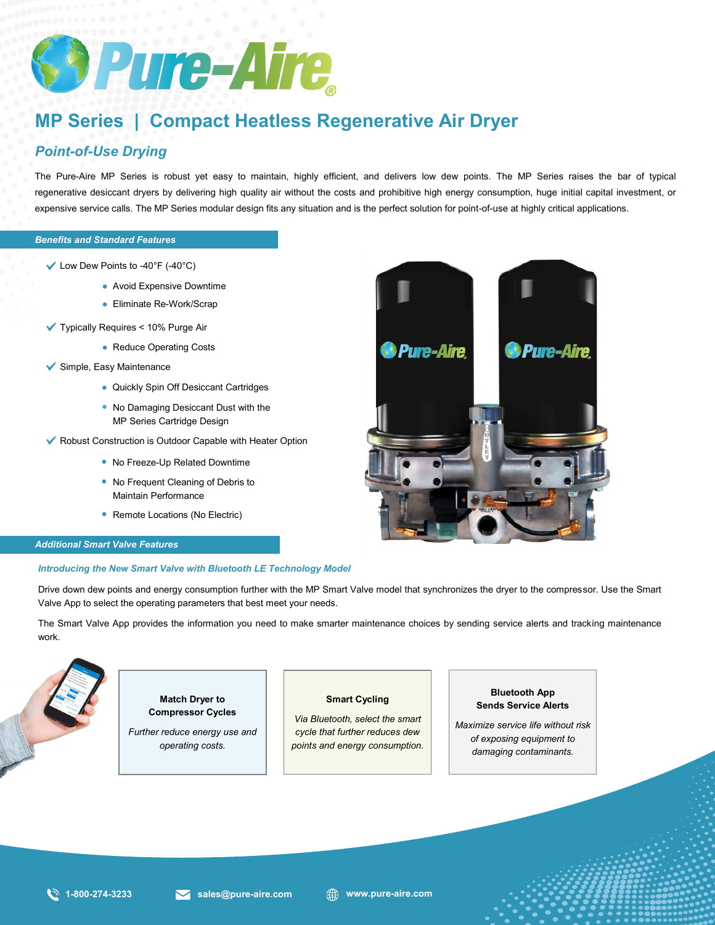

# **MP Series | Compact Heatless Regenerative Air Dryer**

## *Point-of-Use Drying*

The Pure-Aire MP Series is robust yet easy to maintain, highly efficient, and delivers low dew points. The MP Series raises the bar of typical regenerative desiccant dryers by delivering high quality air without the costs and prohibitive high energy consumption, huge initial capital investment, or expensive service calls. The MP Series modular design fits any situation and is the perfect solution for point-of-use at highly critical applications.

# *Standard Features and Benefits Benefits and Standard Features*

- $\checkmark$  Low Dew Points to -40°F (-40°C)
	- Avoid Expensive Downtime
	- Eliminate Re-Work/Scrap
- Typically Requires < 10% Purge Air
	- Reduce Operating Costs
- $\blacktriangleright$  Simple, Easy Maintenance
	- Quickly Spin Off Desiccant Cartridges
	- No Damaging Desiccant Dust with the MP Series Cartridge Design
- K Robust Construction is Outdoor Capable with Heater Option
	- No Freeze-Up Related Downtime
	- No Frequent Cleaning of Debris to Maintain Performance
	- Remote Locations (No Electric)

#### *Additional Smart Valve Features*

### *Introducing the New Smart Valve with Bluetooth LE Technology Model*

Drive down dew points and energy consumption further with the MP Smart Valve model that synchronizes the dryer to the compressor. Use the Smart Valve App to select the operating parameters that best meet your needs.

The Smart Valve App provides the information you need to make smarter maintenance choices by sending service alerts and tracking maintenance work.



**Match Dryer to Compressor Cycles** 

*Further reduce energy use and operating costs.*

### **Smart Cycling**

*Via Bluetooth, select the smart cycle that further reduces dew points and energy consumption.*

**Bluetooth App Sends Service Alerts** 

*Maximize service life without risk of exposing equipment to damaging contaminants.*